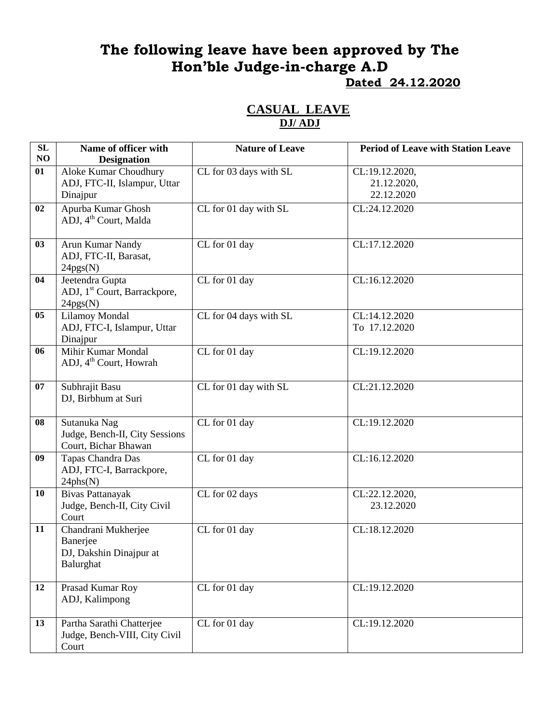# **The following leave have been approved by The Hon'ble Judge-in-charge A.D Dated 24.12.2020**

### **CASUAL LEAVE DJ/ ADJ**

| SL<br>NO | Name of officer with<br><b>Designation</b>                              | <b>Nature of Leave</b> | <b>Period of Leave with Station Leave</b>   |
|----------|-------------------------------------------------------------------------|------------------------|---------------------------------------------|
| 01       | Aloke Kumar Choudhury<br>ADJ, FTC-II, Islampur, Uttar<br>Dinajpur       | CL for 03 days with SL | CL:19.12.2020,<br>21.12.2020,<br>22.12.2020 |
| 02       | Apurba Kumar Ghosh<br>ADJ, 4 <sup>th</sup> Court, Malda                 | CL for 01 day with SL  | CL:24.12.2020                               |
| 03       | Arun Kumar Nandy<br>ADJ, FTC-II, Barasat,<br>24pgs(N)                   | CL for 01 day          | CL:17.12.2020                               |
| 04       | Jeetendra Gupta<br>ADJ, 1 <sup>st</sup> Court, Barrackpore,<br>24pgs(N) | CL for 01 day          | CL:16.12.2020                               |
| 05       | Lilamoy Mondal<br>ADJ, FTC-I, Islampur, Uttar<br>Dinajpur               | CL for 04 days with SL | CL:14.12.2020<br>To 17.12.2020              |
| 06       | Mihir Kumar Mondal<br>ADJ, 4 <sup>th</sup> Court, Howrah                | CL for 01 day          | CL:19.12.2020                               |
| 07       | Subhrajit Basu<br>DJ, Birbhum at Suri                                   | CL for 01 day with SL  | CL:21.12.2020                               |
| 08       | Sutanuka Nag<br>Judge, Bench-II, City Sessions<br>Court, Bichar Bhawan  | CL for 01 day          | CL:19.12.2020                               |
| 09       | Tapas Chandra Das<br>ADJ, FTC-I, Barrackpore,<br>24phs(N)               | CL for 01 day          | CL:16.12.2020                               |
| 10       | <b>Bivas Pattanayak</b><br>Judge, Bench-II, City Civil<br>Court         | CL for 02 days         | CL:22.12.2020,<br>23.12.2020                |
| 11       | Chandrani Mukherjee<br>Banerjee<br>DJ, Dakshin Dinajpur at<br>Balurghat | CL for 01 day          | CL:18.12.2020                               |
| 12       | Prasad Kumar Roy<br>ADJ, Kalimpong                                      | CL for 01 day          | CL:19.12.2020                               |
| 13       | Partha Sarathi Chatterjee<br>Judge, Bench-VIII, City Civil<br>Court     | CL for 01 day          | CL:19.12.2020                               |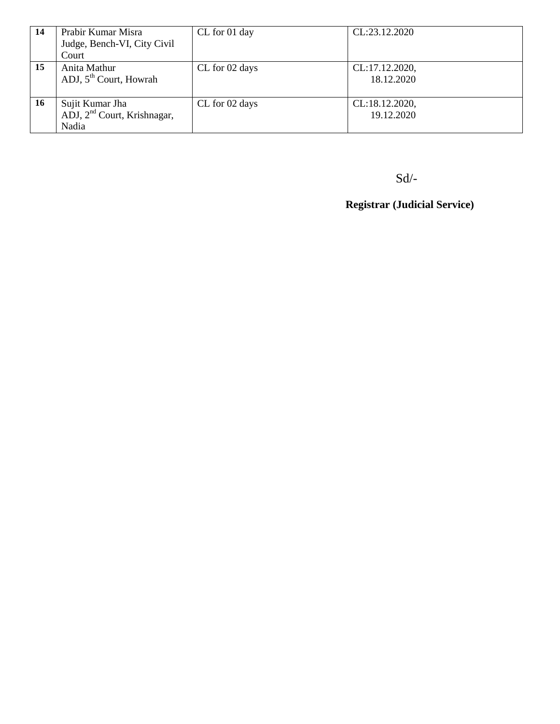| -14 | Prabir Kumar Misra                 | CL for 01 day  | CL:23.12.2020  |
|-----|------------------------------------|----------------|----------------|
|     | Judge, Bench-VI, City Civil        |                |                |
|     | Court                              |                |                |
| 15  | Anita Mathur                       | CL for 02 days | CL:17.12.2020, |
|     | ADJ, 5 <sup>th</sup> Court, Howrah |                | 18.12.2020     |
|     |                                    |                |                |
| 16  | Sujit Kumar Jha                    | CL for 02 days | CL:18.12.2020, |
|     | ADJ, $2nd$ Court, Krishnagar,      |                | 19.12.2020     |
|     | Nadia                              |                |                |

Sd/-

**Registrar (Judicial Service)**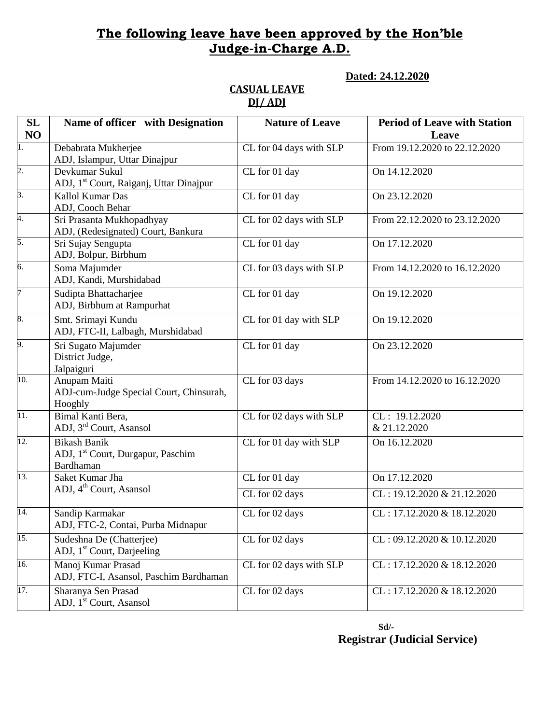### **The following leave have been approved by the Hon'ble Judge-in-Charge A.D.**

**Dated: 24.12.2020**

#### **CASUAL LEAVE DJ/ ADJ**

| SL<br>NO          | Name of officer with Designation                                                  | <b>Nature of Leave</b>  | <b>Period of Leave with Station</b><br>Leave |
|-------------------|-----------------------------------------------------------------------------------|-------------------------|----------------------------------------------|
| ī.                | Debabrata Mukherjee<br>ADJ, Islampur, Uttar Dinajpur                              | CL for 04 days with SLP | From 19.12.2020 to 22.12.2020                |
| 2.                | Devkumar Sukul<br>ADJ, 1 <sup>st</sup> Court, Raiganj, Uttar Dinajpur             | CL for 01 day           | On 14.12.2020                                |
| 3.                | Kallol Kumar Das<br>ADJ, Cooch Behar                                              | CL for 01 day           | On 23.12.2020                                |
| 4.                | Sri Prasanta Mukhopadhyay<br>ADJ, (Redesignated) Court, Bankura                   | CL for 02 days with SLP | From 22.12.2020 to 23.12.2020                |
| 5.                | Sri Sujay Sengupta<br>ADJ, Bolpur, Birbhum                                        | CL for 01 day           | On 17.12.2020                                |
| б.                | Soma Majumder<br>ADJ, Kandi, Murshidabad                                          | CL for 03 days with SLP | From 14.12.2020 to 16.12.2020                |
| 7                 | Sudipta Bhattacharjee<br>ADJ, Birbhum at Rampurhat                                | CL for 01 day           | On 19.12.2020                                |
| 8.                | Smt. Srimayi Kundu<br>ADJ, FTC-II, Lalbagh, Murshidabad                           | CL for 01 day with SLP  | On 19.12.2020                                |
| 9.                | Sri Sugato Majumder<br>District Judge,<br>Jalpaiguri                              | CL for 01 day           | On 23.12.2020                                |
| 10.               | Anupam Maiti<br>ADJ-cum-Judge Special Court, Chinsurah,<br>Hooghly                | CL for 03 days          | From 14.12.2020 to 16.12.2020                |
| 11.               | Bimal Kanti Bera,<br>ADJ, 3 <sup>rd</sup> Court, Asansol                          | CL for 02 days with SLP | CL: 19.12.2020<br>& 21.12.2020               |
| $\overline{12}$ . | <b>Bikash Banik</b><br>ADJ, 1 <sup>st</sup> Court, Durgapur, Paschim<br>Bardhaman | CL for 01 day with SLP  | On 16.12.2020                                |
| 13.               | Saket Kumar Jha                                                                   | CL for 01 day           | On 17.12.2020                                |
|                   | ADJ, 4 <sup>th</sup> Court, Asansol                                               | CL for 02 days          | $CL: 19.12.2020 \& 21.12.2020$               |
| 14.               | Sandip Karmakar<br>ADJ, FTC-2, Contai, Purba Midnapur                             | CL for 02 days          | CL: 17.12.2020 & 18.12.2020                  |
| 15.               | Sudeshna De (Chatterjee)<br>ADJ, 1 <sup>st</sup> Court, Darjeeling                | CL for 02 days          | CL: 09.12.2020 & 10.12.2020                  |
| 16.               | Manoj Kumar Prasad<br>ADJ, FTC-I, Asansol, Paschim Bardhaman                      | CL for 02 days with SLP | CL: 17.12.2020 & 18.12.2020                  |
| 17.               | Sharanya Sen Prasad<br>ADJ, 1 <sup>st</sup> Court, Asansol                        | CL for 02 days          | CL: 17.12.2020 & 18.12.2020                  |